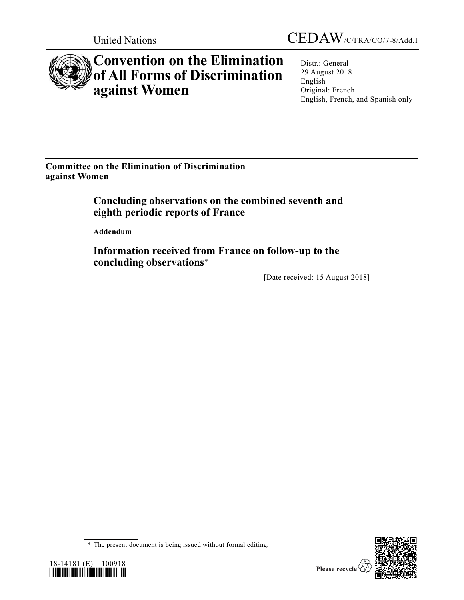

## **Convention on the Elimination of All Forms of Discrimination against Women**

Distr.: General 29 August 2018 English Original: French English, French, and Spanish only

**Committee on the Elimination of Discrimination against Women**

> **Concluding observations on the combined seventh and eighth periodic reports of France**

**Addendum**

**Information received from France on follow-up to the concluding observations**\*

[Date received: 15 August 2018]

<sup>\*</sup> The present document is being issued without formal editing.



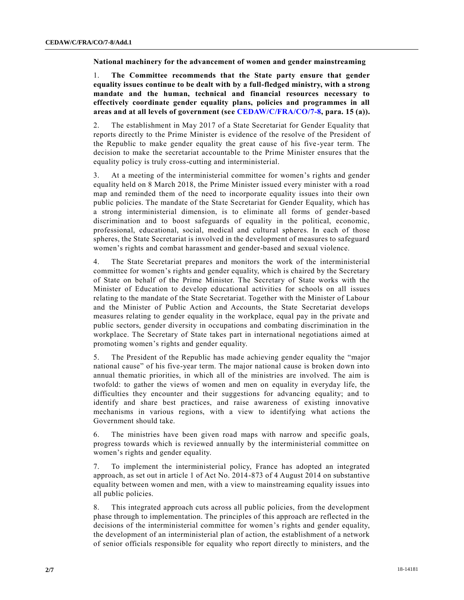**National machinery for the advancement of women and gender mainstreaming**

1. **The Committee recommends that the State party ensure that gender equality issues continue to be dealt with by a full-fledged ministry, with a strong mandate and the human, technical and financial resources necessary to effectively coordinate gender equality plans, policies and programmes in all areas and at all levels of government (see [CEDAW/C/FRA/CO/7-8,](https://undocs.org/CEDAW/C/FRA/CO/7) para. 15 (a)).**

2. The establishment in May 2017 of a State Secretariat for Gender Equality that reports directly to the Prime Minister is evidence of the resolve of the President of the Republic to make gender equality the great cause of his five-year term. The decision to make the secretariat accountable to the Prime Minister ensures that the equality policy is truly cross-cutting and interministerial.

3. At a meeting of the interministerial committee for women's rights and gender equality held on 8 March 2018, the Prime Minister issued every minister with a road map and reminded them of the need to incorporate equality issues into their own public policies. The mandate of the State Secretariat for Gender Equality, which has a strong interministerial dimension, is to eliminate all forms of gender-based discrimination and to boost safeguards of equality in the political, economic, professional, educational, social, medical and cultural spheres. In each of those spheres, the State Secretariat is involved in the development of measures to safeguard women's rights and combat harassment and gender-based and sexual violence.

4. The State Secretariat prepares and monitors the work of the interministerial committee for women's rights and gender equality, which is chaired by the Secretary of State on behalf of the Prime Minister. The Secretary of State works with the Minister of Education to develop educational activities for schools on all issues relating to the mandate of the State Secretariat. Together with the Minister of Labour and the Minister of Public Action and Accounts, the State Secretariat develops measures relating to gender equality in the workplace, equal pay in the private and public sectors, gender diversity in occupations and combating discrimination in the workplace. The Secretary of State takes part in international negotiations aimed at promoting women's rights and gender equality.

5. The President of the Republic has made achieving gender equality the "major national cause" of his five-year term. The major national cause is broken down into annual thematic priorities, in which all of the ministries are involved. The aim is twofold: to gather the views of women and men on equality in everyday life, the difficulties they encounter and their suggestions for advancing equality; and to identify and share best practices, and raise awareness of existing innovative mechanisms in various regions, with a view to identifying what actions the Government should take.

6. The ministries have been given road maps with narrow and specific goals, progress towards which is reviewed annually by the interministerial committee on women's rights and gender equality.

7. To implement the interministerial policy, France has adopted an integrated approach, as set out in article 1 of Act No. 2014-873 of 4 August 2014 on substantive equality between women and men, with a view to mainstreaming equality issues into all public policies.

8. This integrated approach cuts across all public policies, from the development phase through to implementation. The principles of this approach are reflected in the decisions of the interministerial committee for women's rights and gender equality, the development of an interministerial plan of action, the establishment of a network of senior officials responsible for equality who report directly to ministers, and the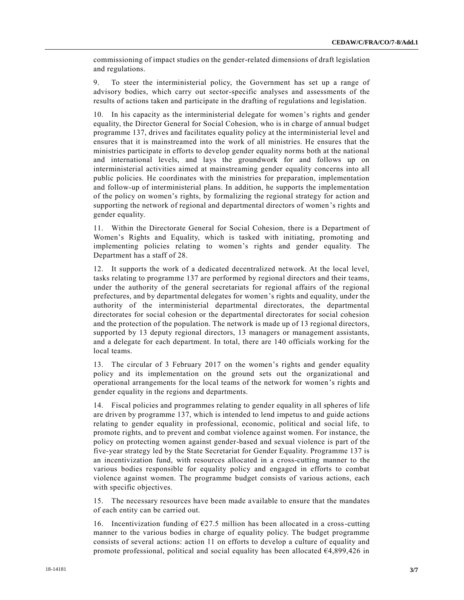commissioning of impact studies on the gender-related dimensions of draft legislation and regulations.

9. To steer the interministerial policy, the Government has set up a range of advisory bodies, which carry out sector-specific analyses and assessments of the results of actions taken and participate in the drafting of regulations and legislation.

10. In his capacity as the interministerial delegate for women's rights and gender equality, the Director General for Social Cohesion, who is in charge of annual budget programme 137, drives and facilitates equality policy at the interministerial level and ensures that it is mainstreamed into the work of all ministries. He ensures that the ministries participate in efforts to develop gender equality norms both at the national and international levels, and lays the groundwork for and follows up on interministerial activities aimed at mainstreaming gender equality concerns into all public policies. He coordinates with the ministries for preparation, implementation and follow-up of interministerial plans. In addition, he supports the implementation of the policy on women's rights, by formalizing the regional strategy for action and supporting the network of regional and departmental directors of women 's rights and gender equality.

11. Within the Directorate General for Social Cohesion, there is a Department of Women's Rights and Equality, which is tasked with initiating, promoting and implementing policies relating to women's rights and gender equality. The Department has a staff of 28.

12. It supports the work of a dedicated decentralized network. At the local level, tasks relating to programme 137 are performed by regional directors and their teams, under the authority of the general secretariats for regional affairs of the regional prefectures, and by departmental delegates for women's rights and equality, under the authority of the interministerial departmental directorates, the departmental directorates for social cohesion or the departmental directorates for social cohesion and the protection of the population. The network is made up of 13 regional directors, supported by 13 deputy regional directors, 13 managers or management assistants, and a delegate for each department. In total, there are 140 officials working for the local teams.

13. The circular of 3 February 2017 on the women's rights and gender equality policy and its implementation on the ground sets out the organizational and operational arrangements for the local teams of the network for women's rights and gender equality in the regions and departments.

14. Fiscal policies and programmes relating to gender equality in all spheres of life are driven by programme 137, which is intended to lend impetus to and guide actions relating to gender equality in professional, economic, political and social life, to promote rights, and to prevent and combat violence against women. For instance, the policy on protecting women against gender-based and sexual violence is part of the five-year strategy led by the State Secretariat for Gender Equality. Programme 137 is an incentivization fund, with resources allocated in a cross-cutting manner to the various bodies responsible for equality policy and engaged in efforts to combat violence against women. The programme budget consists of various actions, each with specific objectives.

15. The necessary resources have been made available to ensure that the mandates of each entity can be carried out.

16. Incentivization funding of  $E$ 27.5 million has been allocated in a cross-cutting manner to the various bodies in charge of equality policy. The budget programme consists of several actions: action 11 on efforts to develop a culture of equality and promote professional, political and social equality has been allocated  $64,899,426$  in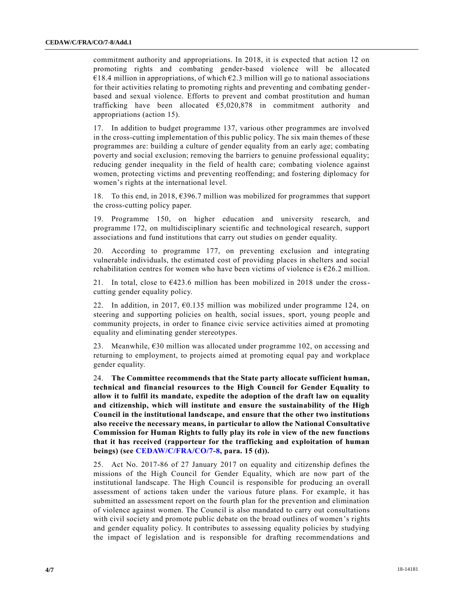commitment authority and appropriations. In 2018, it is expected that action 12 on promoting rights and combating gender-based violence will be allocated  $\epsilon$ 18.4 million in appropriations, of which  $\epsilon$ 2.3 million will go to national associations for their activities relating to promoting rights and preventing and combating genderbased and sexual violence. Efforts to prevent and combat prostitution and human trafficking have been allocated  $65,020,878$  in commitment authority and appropriations (action 15).

17. In addition to budget programme 137, various other programmes are involved in the cross-cutting implementation of this public policy. The six main themes of these programmes are: building a culture of gender equality from an early age; combating poverty and social exclusion; removing the barriers to genuine professional equality; reducing gender inequality in the field of health care; combating violence against women, protecting victims and preventing reoffending; and fostering diplomacy for women's rights at the international level.

18. To this end, in 2018, €396.7 million was mobilized for programmes that support the cross-cutting policy paper.

19. Programme 150, on higher education and university research, and programme 172, on multidisciplinary scientific and technological research, support associations and fund institutions that carry out studies on gender equality.

20. According to programme 177, on preventing exclusion and integrating vulnerable individuals, the estimated cost of providing places in shelters and social rehabilitation centres for women who have been victims of violence is  $\epsilon$ 26.2 million.

21. In total, close to  $6423.6$  million has been mobilized in 2018 under the crosscutting gender equality policy.

22. In addition, in 2017,  $\epsilon$ 0.135 million was mobilized under programme 124, on steering and supporting policies on health, social issues, sport, young people and community projects, in order to finance civic service activities aimed at promoting equality and eliminating gender stereotypes.

23. Meanwhile,  $630$  million was allocated under programme 102, on accessing and returning to employment, to projects aimed at promoting equal pay and workplace gender equality.

24. **The Committee recommends that the State party allocate sufficient human, technical and financial resources to the High Council for Gender Equality to allow it to fulfil its mandate, expedite the adoption of the draft law on equality and citizenship, which will institute and ensure the sustainability of the High Council in the institutional landscape, and ensure that the other two institutions also receive the necessary means, in particular to allow the National Consultative Commission for Human Rights to fully play its role in view of the new functions that it has received (rapporteur for the trafficking and exploitation of human beings) (see [CEDAW/C/FRA/CO/7-8,](https://undocs.org/CEDAW/C/FRA/CO/7) para. 15 (d)).**

25. Act No. 2017-86 of 27 January 2017 on equality and citizenship defines the missions of the High Council for Gender Equality, which are now part of the institutional landscape. The High Council is responsible for producing an overall assessment of actions taken under the various future plans. For example, it has submitted an assessment report on the fourth plan for the prevention and elimination of violence against women. The Council is also mandated to carry out consultations with civil society and promote public debate on the broad outlines of women's rights and gender equality policy. It contributes to assessing equality policies by studying the impact of legislation and is responsible for drafting recommendations and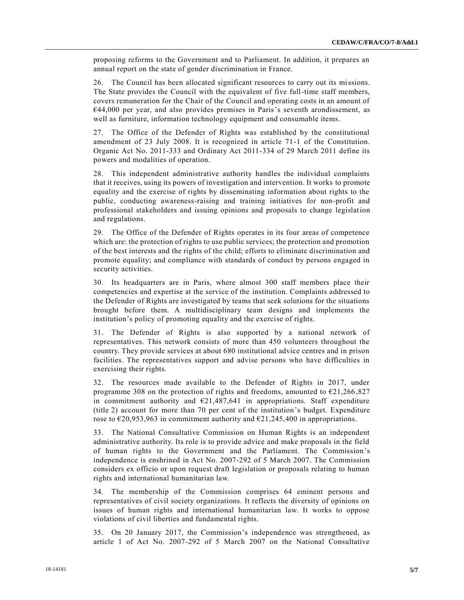proposing reforms to the Government and to Parliament. In addition, it prepares an annual report on the state of gender discrimination in France.

26. The Council has been allocated significant resources to carry out its missions. The State provides the Council with the equivalent of five full-time staff members, covers remuneration for the Chair of the Council and operating costs in an amount of  $644,000$  per year, and also provides premises in Paris's seventh arondissement, as well as furniture, information technology equipment and consumable items.

27. The Office of the Defender of Rights was established by the constitutional amendment of 23 July 2008. It is recognized in article 71-1 of the Constitution. Organic Act No. 2011-333 and Ordinary Act 2011-334 of 29 March 2011 define its powers and modalities of operation.

28. This independent administrative authority handles the individual complaints that it receives, using its powers of investigation and intervention. It works to promote equality and the exercise of rights by disseminating information about rights to the public, conducting awareness-raising and training initiatives for non-profit and professional stakeholders and issuing opinions and proposals to change legislation and regulations.

29. The Office of the Defender of Rights operates in its four areas of competence which are: the protection of rights to use public services; the protection and promotion of the best interests and the rights of the child; efforts to eliminate discrimination and promote equality; and compliance with standards of conduct by persons engaged in security activities.

30. Its headquarters are in Paris, where almost 300 staff members place their competencies and expertise at the service of the institution. Complaints addressed to the Defender of Rights are investigated by teams that seek solutions for the situations brought before them. A multidisciplinary team designs and implements the institution's policy of promoting equality and the exercise of rights.

31. The Defender of Rights is also supported by a national network of representatives. This network consists of more than 450 volunteers throughout the country. They provide services at about 680 institutional advice centres and in prison facilities. The representatives support and advise persons who have difficulties in exercising their rights.

32. The resources made available to the Defender of Rights in 2017, under programme 308 on the protection of rights and freedoms, amounted to  $\epsilon$ 21,266,827 in commitment authority and  $\epsilon$ 21,487,641 in appropriations. Staff expenditure (title 2) account for more than 70 per cent of the institution's budget. Expenditure rose to  $\epsilon$ 20,953,963 in commitment authority and  $\epsilon$ 21,245,400 in appropriations.

33. The National Consultative Commission on Human Rights is an independent administrative authority. Its role is to provide advice and make proposals in the field of human rights to the Government and the Parliament. The Commission's independence is enshrined in Act No. 2007-292 of 5 March 2007. The Commission considers ex officio or upon request draft legislation or proposals relating to human rights and international humanitarian law.

34. The membership of the Commission comprises 64 eminent persons and representatives of civil society organizations. It reflects the diversity of opinions on issues of human rights and international humanitarian law. It works to oppose violations of civil liberties and fundamental rights.

35. On 20 January 2017, the Commission's independence was strengthened, as article 1 of Act No. 2007-292 of 5 March 2007 on the National Consultative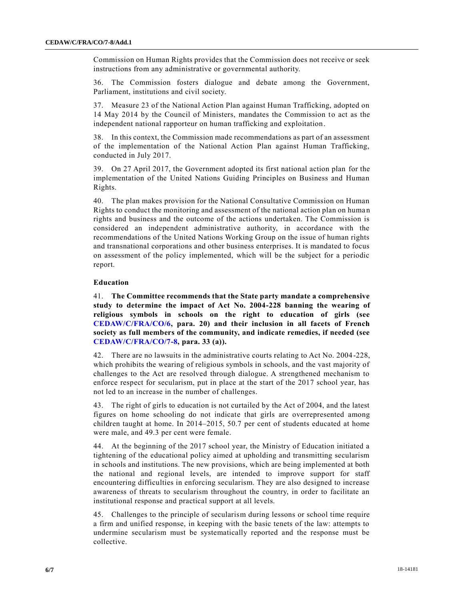Commission on Human Rights provides that the Commission does not receive or seek instructions from any administrative or governmental authority.

36. The Commission fosters dialogue and debate among the Government, Parliament, institutions and civil society.

37. Measure 23 of the National Action Plan against Human Trafficking, adopted on 14 May 2014 by the Council of Ministers, mandates the Commission to act as the independent national rapporteur on human trafficking and exploitation.

38. In this context, the Commission made recommendations as part of an assessment of the implementation of the National Action Plan against Human Trafficking, conducted in July 2017.

39. On 27 April 2017, the Government adopted its first national action plan for the implementation of the United Nations Guiding Principles on Business and Human Rights.

40. The plan makes provision for the National Consultative Commission on Human Rights to conduct the monitoring and assessment of the national action plan on human rights and business and the outcome of the actions undertaken. The Commission is considered an independent administrative authority, in accordance with the recommendations of the United Nations Working Group on the issue of human rights and transnational corporations and other business enterprises. It is mandated to focus on assessment of the policy implemented, which will be the subject for a periodic report.

## **Education**

41. **The Committee recommends that the State party mandate a comprehensive study to determine the impact of Act No. 2004-228 banning the wearing of religious symbols in schools on the right to education of girls (see [CEDAW/C/FRA/CO/6,](https://undocs.org/CEDAW/C/FRA/CO/6) para. 20) and their inclusion in all facets of French society as full members of the community, and indicate remedies, if needed (see [CEDAW/C/FRA/CO/7-8,](https://undocs.org/CEDAW/C/FRA/CO/7) para. 33 (a)).** 

42. There are no lawsuits in the administrative courts relating to Act No. 2004 -228, which prohibits the wearing of religious symbols in schools, and the vast majority of challenges to the Act are resolved through dialogue. A strengthened mechanism to enforce respect for secularism, put in place at the start of the 2017 school year, has not led to an increase in the number of challenges.

43. The right of girls to education is not curtailed by the Act of 2004, and the latest figures on home schooling do not indicate that girls are overrepresented among children taught at home. In 2014–2015, 50.7 per cent of students educated at home were male, and 49.3 per cent were female.

44. At the beginning of the 2017 school year, the Ministry of Education initiated a tightening of the educational policy aimed at upholding and transmitting secularism in schools and institutions. The new provisions, which are being implemented at both the national and regional levels, are intended to improve support for staff encountering difficulties in enforcing secularism. They are also designed to increase awareness of threats to secularism throughout the country, in order to facilitate an institutional response and practical support at all levels.

45. Challenges to the principle of secularism during lessons or school time require a firm and unified response, in keeping with the basic tenets of the law: attempts to undermine secularism must be systematically reported and the response must be collective.